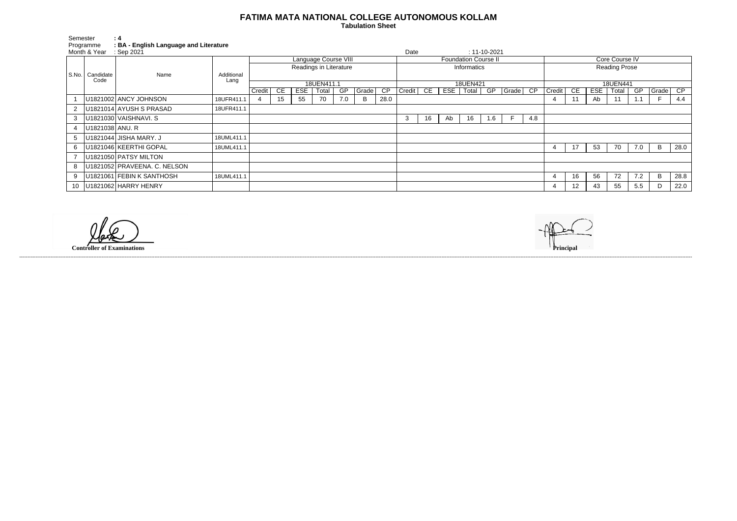## **FATIMA MATA NATIONAL COLLEGE AUTONOMOUS KOLLAM**

 **Tabulation Sheet** 

| Semester |                           | : 4<br>: BA - English Language and Literature |            |                        |                             |     |       |     |       |             |           |    |     |                             |     |           |                      |                |                 |            |       |     |       |      |
|----------|---------------------------|-----------------------------------------------|------------|------------------------|-----------------------------|-----|-------|-----|-------|-------------|-----------|----|-----|-----------------------------|-----|-----------|----------------------|----------------|-----------------|------------|-------|-----|-------|------|
|          | Programme<br>Month & Year | : Sep 2021                                    |            |                        |                             |     |       |     |       | Date        |           |    |     | $: 11 - 10 - 2021$          |     |           |                      |                |                 |            |       |     |       |      |
|          |                           |                                               |            |                        | <b>Language Course VIII</b> |     |       |     |       |             |           |    |     | <b>Foundation Course II</b> |     |           |                      | Core Course IV |                 |            |       |     |       |      |
|          |                           |                                               |            | Readings in Literature |                             |     |       |     |       | Informatics |           |    |     |                             |     |           | <b>Reading Prose</b> |                |                 |            |       |     |       |      |
| S.No.    | Candidate                 | Name                                          | Additional |                        |                             |     |       |     |       |             |           |    |     |                             |     |           |                      |                |                 |            |       |     |       |      |
|          | Code                      |                                               | Lang       | 18UEN411.1             |                             |     |       |     |       | 18UEN421    |           |    |     |                             |     | 18UEN441  |                      |                |                 |            |       |     |       |      |
|          |                           |                                               |            | Credit                 | CE                          | ESE | Total | GP  | Grade | CP          | Credit CE |    | EST | Total                       | GP  | $ $ Grade | $\overline{CP}$      | Credit         | CE              | <b>ESE</b> | Total | GP  | Grade | CP   |
|          |                           | U1821002 ANCY JOHNSON                         | 18UFR411.1 |                        | 15                          | 55  | 70    | 7.0 | В     | 28.0        |           |    |     |                             |     |           |                      | 4              |                 | Ab         | 11    | 1.1 |       | 4.4  |
| 2        |                           | U1821014 AYUSH S PRASAD                       | 18UFR411.1 |                        |                             |     |       |     |       |             |           |    |     |                             |     |           |                      |                |                 |            |       |     |       |      |
| 3        |                           | U1821030 VAISHNAVI. S                         |            |                        |                             |     |       |     |       |             | 3         | 16 | Ab  | 16                          | 1.6 |           | 4.8                  |                |                 |            |       |     |       |      |
| 4        | U1821038 ANU. R           |                                               |            |                        |                             |     |       |     |       |             |           |    |     |                             |     |           |                      |                |                 |            |       |     |       |      |
| 5        |                           | U1821044 JISHA MARY. J                        | 18UML411.1 |                        |                             |     |       |     |       |             |           |    |     |                             |     |           |                      |                |                 |            |       |     |       |      |
| 6        |                           | U1821046 KEERTHI GOPAL                        | 18UML411.1 |                        |                             |     |       |     |       |             |           |    |     |                             |     |           |                      | -4             | 17              | 53         | 70    | 7.0 | B     | 28.0 |
|          |                           | U1821050 PATSY MILTON                         |            |                        |                             |     |       |     |       |             |           |    |     |                             |     |           |                      |                |                 |            |       |     |       |      |
| 8        |                           | U1821052 PRAVEENA. C. NELSON                  |            |                        |                             |     |       |     |       |             |           |    |     |                             |     |           |                      |                |                 |            |       |     |       |      |
| 9        |                           | U1821061 FEBIN K SANTHOSH                     | 18UML411.1 |                        |                             |     |       |     |       |             |           |    |     |                             |     |           |                      | 4              | 16              | 56         | 72    | 7.2 | B     | 28.8 |
| 10       |                           | U1821062 HARRY HENRY                          |            |                        |                             |     |       |     |       |             |           |    |     |                             |     |           |                      | 4              | 12 <sup>2</sup> | 43         | 55    | 5.5 | D     | 22.0 |

------------------------------------------------------------------------------------------------------------------------------------------------------------------------------------------------------------------------------------------------------------------------------------------------------------------------------------------------------------------------------------------------------------------------

**Controller of Examinations**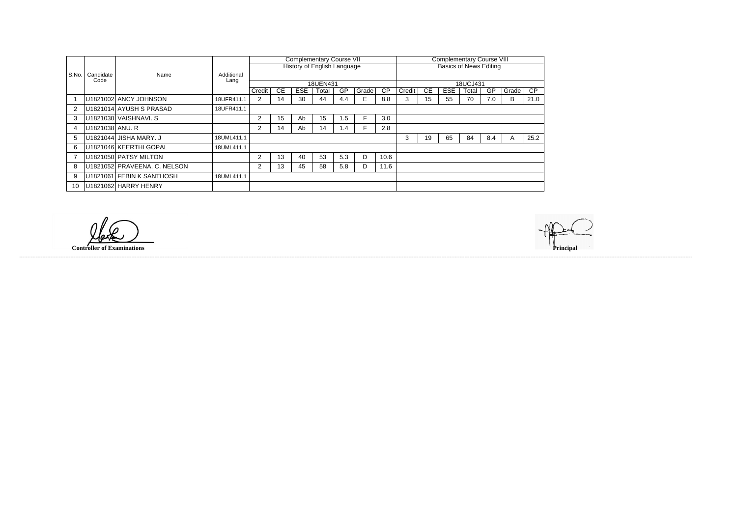|                |                   | Name                         |            | <b>Complementary Course VII</b> |           |            |                                    |     |       |                               |          | <b>Complementary Course VIII</b> |            |       |     |       |      |  |  |
|----------------|-------------------|------------------------------|------------|---------------------------------|-----------|------------|------------------------------------|-----|-------|-------------------------------|----------|----------------------------------|------------|-------|-----|-------|------|--|--|
|                |                   |                              |            |                                 |           |            | <b>History of English Language</b> |     |       | <b>Basics of News Editing</b> |          |                                  |            |       |     |       |      |  |  |
| S.No.          | Candidate<br>Code |                              | Additional |                                 |           |            |                                    |     |       |                               |          |                                  |            |       |     |       |      |  |  |
|                |                   |                              | Lang       |                                 |           |            | 18UEN431                           |     |       |                               | 18UCJ431 |                                  |            |       |     |       |      |  |  |
|                |                   |                              |            | Credit                          | <b>CE</b> | <b>ESE</b> | Total                              | GP  | Grade | $\overline{CP}$               | Credit   | СE                               | <b>ESE</b> | Total | GP  | Grade | CP   |  |  |
|                |                   | U1821002 ANCY JOHNSON        | 18UFR411.1 | 2                               | 14        | 30         | 44                                 | 4.4 | E.    | 8.8                           | 3        | 15                               | 55         | 70    | 7.0 | B     | 21.0 |  |  |
| $\overline{2}$ |                   | U1821014 AYUSH S PRASAD      | 18UFR411.1 |                                 |           |            |                                    |     |       |                               |          |                                  |            |       |     |       |      |  |  |
| 3              |                   | U1821030 VAISHNAVI. S        |            | 2                               | 15        | Ab         | 15                                 | 1.5 |       | 3.0                           |          |                                  |            |       |     |       |      |  |  |
| 4              | U1821038 ANU. R   |                              |            | 2                               | 14        | Ab         | 14                                 | 1.4 |       | 2.8                           |          |                                  |            |       |     |       |      |  |  |
| 5              |                   | U1821044 JISHA MARY. J       | 18UML411.1 |                                 |           |            |                                    |     |       |                               | 3        | 19                               | 65         | 84    | 8.4 |       | 25.2 |  |  |
| 6              |                   | U1821046 KEERTHI GOPAL       | 18UML411.1 |                                 |           |            |                                    |     |       |                               |          |                                  |            |       |     |       |      |  |  |
|                |                   | U1821050 PATSY MILTON        |            | 2                               | 13        | 40         | 53                                 | 5.3 | D     | 10.6                          |          |                                  |            |       |     |       |      |  |  |
| 8              |                   | U1821052 PRAVEENA. C. NELSON |            | 2                               | 13        | 45         | 58                                 | 5.8 | D     | 11.6                          |          |                                  |            |       |     |       |      |  |  |
| 9              |                   | U1821061 FEBIN K SANTHOSH    | 18UML411.1 |                                 |           |            |                                    |     |       |                               |          |                                  |            |       |     |       |      |  |  |
| 10             |                   | U1821062 HARRY HENRY         |            |                                 |           |            |                                    |     |       |                               |          |                                  |            |       |     |       |      |  |  |

------------------------------------------------------------------------------------------------------------------------------------------------------------------------------------------------------------------------------------------------------------------------------------------------------------------------------------------------------------------------------------------------------------------------

lak

**Controller of Examinations**